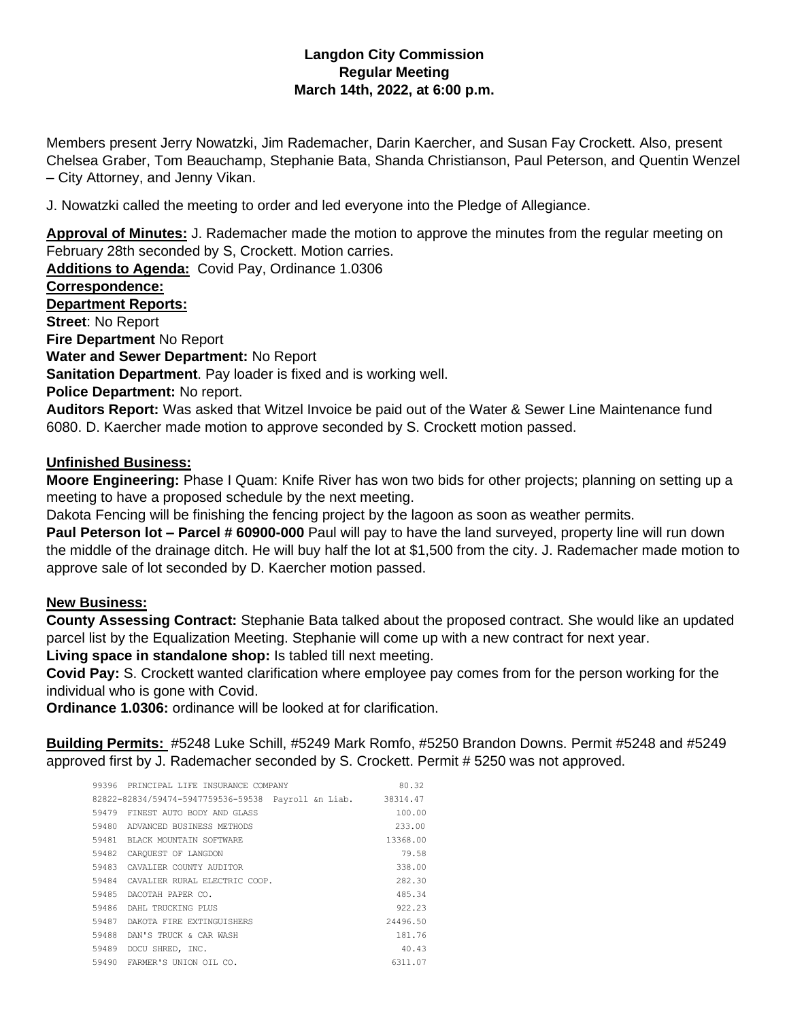## **Langdon City Commission Regular Meeting March 14th, 2022, at 6:00 p.m.**

Members present Jerry Nowatzki, Jim Rademacher, Darin Kaercher, and Susan Fay Crockett. Also, present Chelsea Graber, Tom Beauchamp, Stephanie Bata, Shanda Christianson, Paul Peterson, and Quentin Wenzel – City Attorney, and Jenny Vikan.

J. Nowatzki called the meeting to order and led everyone into the Pledge of Allegiance.

**Approval of Minutes:** J. Rademacher made the motion to approve the minutes from the regular meeting on February 28th seconded by S, Crockett. Motion carries.

**Additions to Agenda:** Covid Pay, Ordinance 1.0306 **Correspondence: Department Reports: Street**: No Report **Fire Department** No Report **Water and Sewer Department:** No Report **Sanitation Department**. Pay loader is fixed and is working well. **Police Department:** No report. **Auditors Report:** Was asked that Witzel Invoice be paid out of the Water & Sewer Line Maintenance fund 6080. D. Kaercher made motion to approve seconded by S. Crockett motion passed.

## **Unfinished Business:**

**Moore Engineering:** Phase I Quam: Knife River has won two bids for other projects; planning on setting up a meeting to have a proposed schedule by the next meeting.

Dakota Fencing will be finishing the fencing project by the lagoon as soon as weather permits.

**Paul Peterson lot – Parcel # 60900-000** Paul will pay to have the land surveyed, property line will run down the middle of the drainage ditch. He will buy half the lot at \$1,500 from the city. J. Rademacher made motion to approve sale of lot seconded by D. Kaercher motion passed.

## **New Business:**

**County Assessing Contract:** Stephanie Bata talked about the proposed contract. She would like an updated parcel list by the Equalization Meeting. Stephanie will come up with a new contract for next year. **Living space in standalone shop:** Is tabled till next meeting.

**Covid Pay:** S. Crockett wanted clarification where employee pay comes from for the person working for the individual who is gone with Covid.

**Ordinance 1.0306:** ordinance will be looked at for clarification.

**Building Permits:** #5248 Luke Schill, #5249 Mark Romfo, #5250 Brandon Downs. Permit #5248 and #5249 approved first by J. Rademacher seconded by S. Crockett. Permit # 5250 was not approved.

| 99396 PRINCIPAL LIFE INSURANCE COMPANY              | 80.32    |
|-----------------------------------------------------|----------|
| 82822-82834/59474-5947759536-59538 Payroll &n Liab. | 38314.47 |
| 59479 FINEST AUTO BODY AND GLASS                    | 100.00   |
| 59480<br>ADVANCED BUSINESS METHODS                  | 233.00   |
| 59481<br>BLACK MOUNTAIN SOFTWARE                    | 13368.00 |
| 59482<br>CAROUEST OF LANGDON                        | 79.58    |
| 59483<br>CAVALIER COUNTY AUDITOR                    | 338.00   |
| 59484<br>CAVALIER RURAL ELECTRIC COOP.              | 282.30   |
| 59485<br>DACOTAH PAPER CO.                          | 485.34   |
| 59486<br>DAHL TRUCKING PLUS                         | 922.23   |
| 59487<br>DAKOTA FIRE EXTINGUISHERS                  | 24496.50 |
| 59488<br>DAN'S TRUCK & CAR WASH                     | 181.76   |
| 59489<br>DOCU SHRED, INC.                           | 40.43    |
| 59490 FARMER'S UNION OIL CO.                        | 6311.07  |